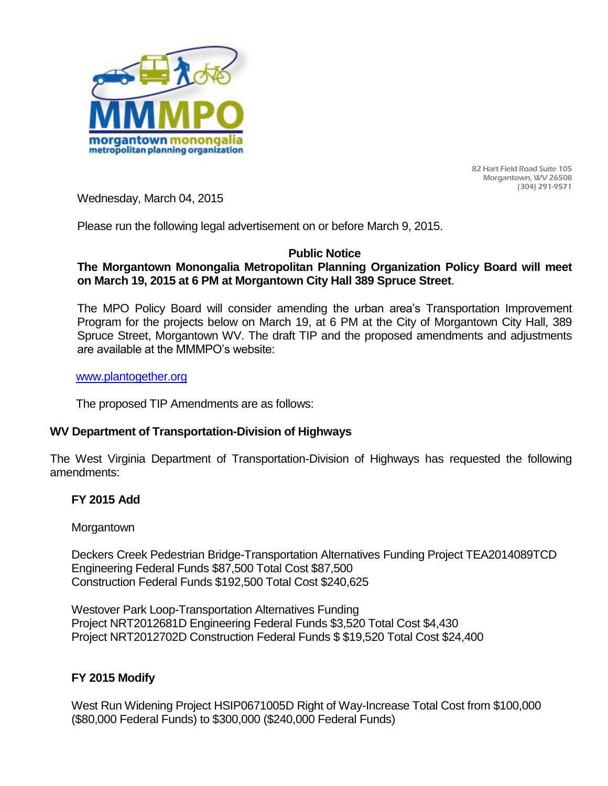

82 Hart Field Road Suite 105 Morgantown, WV 26508 (304) 291-9571

Wednesday, March 04, 2015

Please run the following legal advertisement on or before March 9, 2015.

#### **Public Notice**

## **The Morgantown Monongalia Metropolitan Planning Organization Policy Board will meet on March 19, 2015 at 6 PM at Morgantown City Hall 389 Spruce Street**.

The MPO Policy Board will consider amending the urban area's Transportation Improvement Program for the projects below on March 19, at 6 PM at the City of Morgantown City Hall, 389 Spruce Street, Morgantown WV. The draft TIP and the proposed amendments and adjustments are available at the MMMPO's website:

#### [www.plantogether.org](http://www.plantogether.org/)

The proposed TIP Amendments are as follows:

### **WV Department of Transportation-Division of Highways**

The West Virginia Department of Transportation-Division of Highways has requested the following amendments:

### **FY 2015 Add**

**Morgantown** 

Deckers Creek Pedestrian Bridge-Transportation Alternatives Funding Project TEA2014089TCD Engineering Federal Funds \$87,500 Total Cost \$87,500 Construction Federal Funds \$192,500 Total Cost \$240,625

Westover Park Loop-Transportation Alternatives Funding Project NRT2012681D Engineering Federal Funds \$3,520 Total Cost \$4,430 Project NRT2012702D Construction Federal Funds \$ \$19,520 Total Cost \$24,400

# **FY 2015 Modify**

West Run Widening Project HSIP0671005D Right of Way-Increase Total Cost from \$100,000 (\$80,000 Federal Funds) to \$300,000 (\$240,000 Federal Funds)